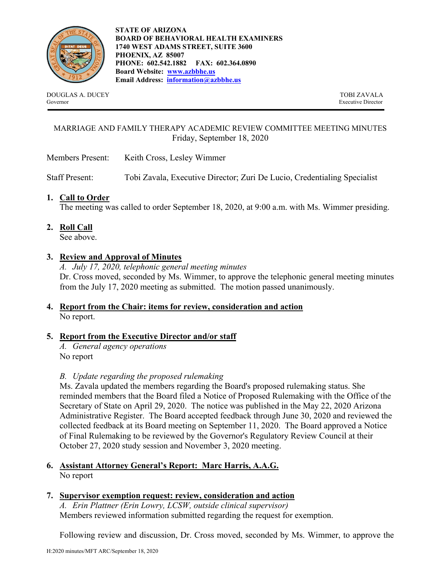

**STATE OF ARIZONA BOARD OF BEHAVIORAL HEALTH EXAMINERS 1740 WEST ADAMS STREET, SUITE 3600 PHOENIX, AZ 85007 PHONE: 602.542.1882 FAX: 602.364.0890 Board Website: [www.azbbhe.us](http://www.azbbhe.us/) Email Address: [information@azbbhe.us](mailto:information@azbbhe.us)**

DOUGLAS A. DUCEY TOBI ZAVALA Governor Executive Director

### MARRIAGE AND FAMILY THERAPY ACADEMIC REVIEW COMMITTEE MEETING MINUTES Friday, September 18, 2020

Members Present: Keith Cross, Lesley Wimmer

Staff Present: Tobi Zavala, Executive Director; Zuri De Lucio, Credentialing Specialist

### **1. Call to Order**

The meeting was called to order September 18, 2020, at 9:00 a.m. with Ms. Wimmer presiding.

**2. Roll Call**

See above.

### **3. Review and Approval of Minutes**

*A. July 17, 2020, telephonic general meeting minutes*  Dr. Cross moved, seconded by Ms. Wimmer, to approve the telephonic general meeting minutes from the July 17, 2020 meeting as submitted. The motion passed unanimously.

# **4. Report from the Chair: items for review, consideration and action** No report.

#### **5. Report from the Executive Director and/or staff**

*A. General agency operations* No report

#### *B. Update regarding the proposed rulemaking*

Ms. Zavala updated the members regarding the Board's proposed rulemaking status. She reminded members that the Board filed a Notice of Proposed Rulemaking with the Office of the Secretary of State on April 29, 2020. The notice was published in the May 22, 2020 Arizona Administrative Register. The Board accepted feedback through June 30, 2020 and reviewed the collected feedback at its Board meeting on September 11, 2020. The Board approved a Notice of Final Rulemaking to be reviewed by the Governor's Regulatory Review Council at their October 27, 2020 study session and November 3, 2020 meeting.

### **6. Assistant Attorney General's Report: Marc Harris, A.A.G.** No report

# **7. Supervisor exemption request: review, consideration and action**

*A. Erin Plattner (Erin Lowry, LCSW, outside clinical supervisor)* Members reviewed information submitted regarding the request for exemption.

Following review and discussion, Dr. Cross moved, seconded by Ms. Wimmer, to approve the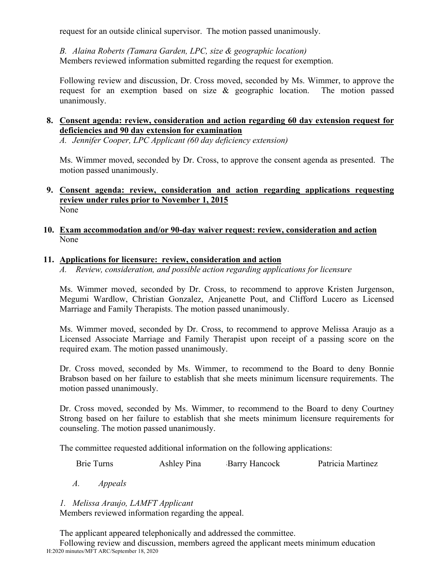request for an outside clinical supervisor. The motion passed unanimously.

*B. Alaina Roberts (Tamara Garden, LPC, size & geographic location)* Members reviewed information submitted regarding the request for exemption.

Following review and discussion, Dr. Cross moved, seconded by Ms. Wimmer, to approve the request for an exemption based on size & geographic location. The motion passed unanimously.

# **8. Consent agenda: review, consideration and action regarding 60 day extension request for deficiencies and 90 day extension for examination**

*A. Jennifer Cooper, LPC Applicant (60 day deficiency extension)*

Ms. Wimmer moved, seconded by Dr. Cross, to approve the consent agenda as presented. The motion passed unanimously.

#### **9. Consent agenda: review, consideration and action regarding applications requesting review under rules prior to November 1, 2015** None

## **10. Exam accommodation and/or 90-day waiver request: review, consideration and action** None

# **11. Applications for licensure: review, consideration and action**

*A. Review, consideration, and possible action regarding applications for licensure*

Ms. Wimmer moved, seconded by Dr. Cross, to recommend to approve Kristen Jurgenson, Megumi Wardlow, Christian Gonzalez, Anjeanette Pout, and Clifford Lucero as Licensed Marriage and Family Therapists. The motion passed unanimously.

Ms. Wimmer moved, seconded by Dr. Cross, to recommend to approve Melissa Araujo as a Licensed Associate Marriage and Family Therapist upon receipt of a passing score on the required exam. The motion passed unanimously.

Dr. Cross moved, seconded by Ms. Wimmer, to recommend to the Board to deny Bonnie Brabson based on her failure to establish that she meets minimum licensure requirements. The motion passed unanimously.

Dr. Cross moved, seconded by Ms. Wimmer, to recommend to the Board to deny Courtney Strong based on her failure to establish that she meets minimum licensure requirements for counseling. The motion passed unanimously.

The committee requested additional information on the following applications:

Brie Turns **Ashley Pina** Barry Hancock Patricia Martinez

*A. Appeals*

*1. Melissa Araujo, LAMFT Applicant*

Members reviewed information regarding the appeal.

The applicant appeared telephonically and addressed the committee.

H:2020 minutes/MFT ARC/September 18, 2020 Following review and discussion, members agreed the applicant meets minimum education